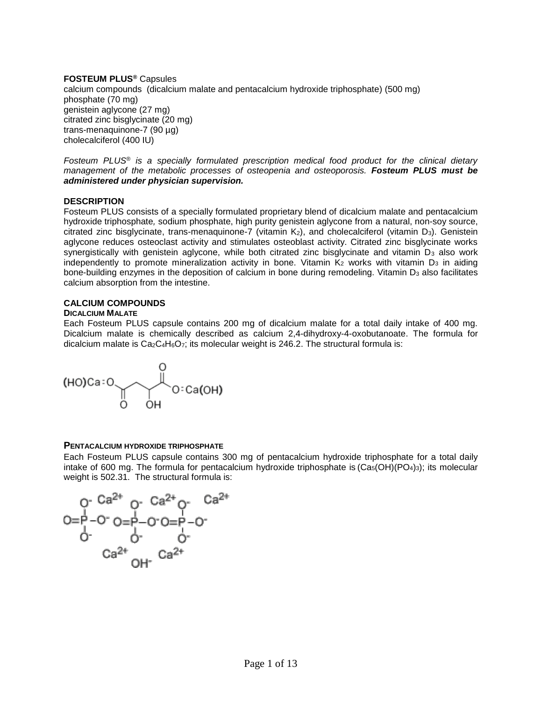## **FOSTEUM PLUS®** Capsules

calcium compounds (dicalcium malate and pentacalcium hydroxide triphosphate) (500 mg) phosphate (70 mg) genistein aglycone (27 mg) citrated zinc bisglycinate (20 mg) trans-menaquinone-7 (90 µg) cholecalciferol (400 IU)

*Fosteum PLUS*® *is a specially formulated prescription medical food product for the clinical dietary management of the metabolic processes of osteopenia and osteoporosis. Fosteum PLUS must be administered under physician supervision.*

### **DESCRIPTION**

Fosteum PLUS consists of a specially formulated proprietary blend of dicalcium malate and pentacalcium hydroxide triphosphate*,* sodium phosphate, high purity genistein aglycone from a natural, non-soy source, citrated zinc bisglycinate, trans-menaquinone-7 (vitamin  $K_2$ ), and cholecalciferol (vitamin  $D_3$ ). Genistein aglycone reduces osteoclast activity and stimulates osteoblast activity. Citrated zinc bisglycinate works synergistically with genistein aglycone, while both citrated zinc bisglycinate and vitamin D<sub>3</sub> also work independently to promote mineralization activity in bone. Vitamin  $K_2$  works with vitamin D<sub>3</sub> in aiding bone-building enzymes in the deposition of calcium in bone during remodeling. Vitamin D<sub>3</sub> also facilitates calcium absorption from the intestine.

## **CALCIUM COMPOUNDS**

### **DICALCIUM MALATE**

Each Fosteum PLUS capsule contains 200 mg of dicalcium malate for a total daily intake of 400 mg. Dicalcium malate is chemically described as calcium 2,4-dihydroxy-4-oxobutanoate. The formula for dicalcium malate is  $Ca_2C_4H_6O_7$ ; its molecular weight is 246.2. The structural formula is:



### **PENTACALCIUM HYDROXIDE TRIPHOSPHATE**

Each Fosteum PLUS capsule contains 300 mg of pentacalcium hydroxide triphosphate for a total daily intake of 600 mg. The formula for pentacalcium hydroxide triphosphate is  $(Ca<sub>5</sub>(OH)(PO<sub>4</sub>)<sub>3</sub>)$ ; its molecular weight is 502.31. The structural formula is: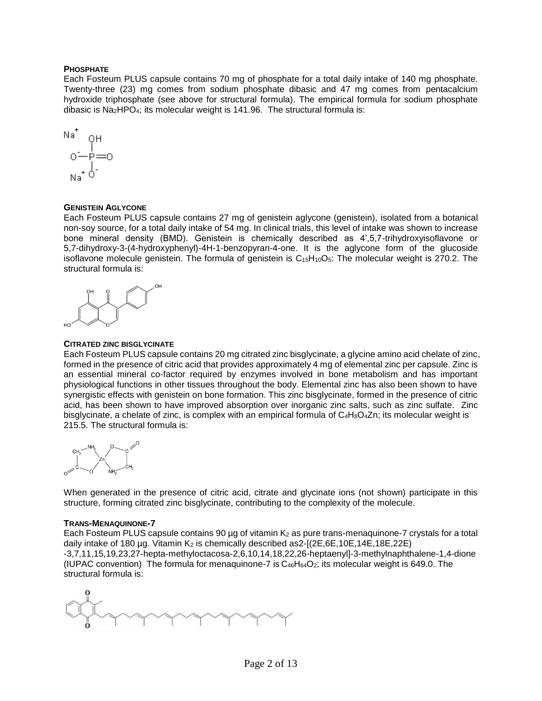### **PHOSPHATE**

Each Fosteum PLUS capsule contains 70 mg of phosphate for a total daily intake of 140 mg phosphate. Twenty-three (23) mg comes from sodium phosphate dibasic and 47 mg comes from pentacalcium hydroxide triphosphate (see above for structural formula). The empirical formula for sodium phosphate dibasic is Na2HPO4; its molecular weight is 141.96. The structural formula is:

$$
N^{\text{a}^+} \quad \text{OH} \\ \text{O} \quad \text{O} \\ \text{O} \quad \text{P} = 0 \\ \text{Na}^+ \quad \text{O} \\ \text{O}
$$

#### **GENISTEIN AGLYCONE**

Each Fosteum PLUS capsule contains 27 mg of genistein aglycone (genistein), isolated from a botanical non-soy source, for a total daily intake of 54 mg. In clinical trials, this level of intake was shown to increase bone mineral density (BMD). Genistein is chemically described as 4',5,7-trihydroxyisoflavone or 5,7-dihydroxy-3-(4-hydroxyphenyl)-4H-1-benzopyran-4-one. It is the aglycone form of the glucoside isoflavone molecule genistein. The formula of genistein is  $C_{15}H_{10}O_5$ : The molecular weight is 270.2. The structural formula is:



#### **CITRATED ZINC BISGLYCINATE**

Each Fosteum PLUS capsule contains 20 mg citrated zinc bisglycinate, a glycine amino acid chelate of zinc, formed in the presence of citric acid that provides approximately 4 mg of elemental zinc per capsule. Zinc is an essential mineral co-factor required by enzymes involved in bone metabolism and has important physiological functions in other tissues throughout the body. Elemental zinc has also been shown to have synergistic effects with genistein on bone formation. This zinc bisglycinate, formed in the presence of citric acid, has been shown to have improved absorption over inorganic zinc salts, such as zinc sulfate. Zinc bisglycinate, a chelate of zinc, is complex with an empirical formula of  $C_4H_8O_4Zn$ ; its molecular weight is 215.5. The structural formula is:



When generated in the presence of citric acid, citrate and glycinate ions (not shown) participate in this structure, forming citrated zinc bisglycinate, contributing to the complexity of the molecule.

#### **TRANS-MENAQUINONE-7**

Each Fosteum PLUS capsule contains 90  $\mu$ g of vitamin K<sub>2</sub> as pure trans-menaquinone-7 crystals for a total daily intake of 180 µg. Vitamin  $K_2$  is chemically described as  $2-[2E, 6E, 10E, 14E, 18E, 22E)$ -3,7,11,15,19,23,27-hepta-methyloctacosa-2,6,10,14,18,22,26-heptaenyl]-3-methylnaphthalene-1,4-dione (IUPAC convention) The formula for menaquinone-7 is  $C_{46}H_{64}O_2$ ; its molecular weight is 649.0. The structural formula is:

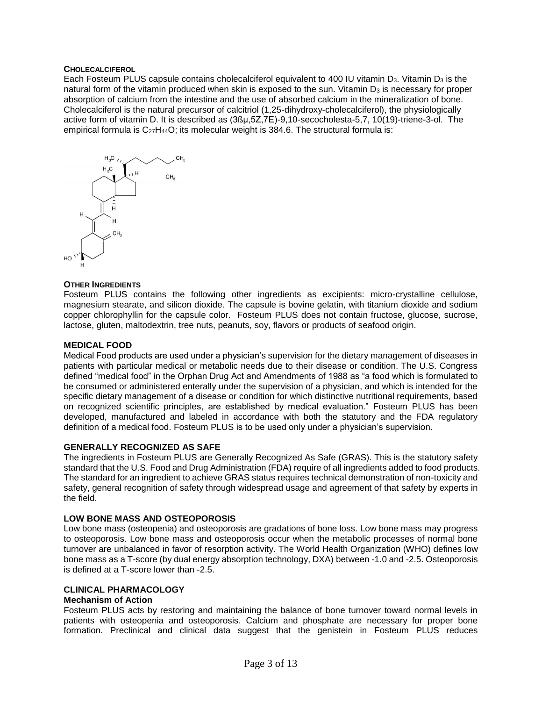#### **CHOLECALCIFEROL**

Each Fosteum PLUS capsule contains cholecalciferol equivalent to 400 IU vitamin D<sub>3</sub>. Vitamin D<sub>3</sub> is the natural form of the vitamin produced when skin is exposed to the sun. Vitamin  $D_3$  is necessary for proper absorption of calcium from the intestine and the use of absorbed calcium in the mineralization of bone. Cholecalciferol is the natural precursor of calcitriol (1,25-dihydroxy-cholecalciferol), the physiologically active form of vitamin D. It is described as (3ßμ,5Z,7E)-9,10-secocholesta-5,7, 10(19)-triene-3-ol. The empirical formula is  $C_{27}H_{44}O$ ; its molecular weight is 384.6. The structural formula is:



### **OTHER INGREDIENTS**

Fosteum PLUS contains the following other ingredients as excipients: micro-crystalline cellulose, magnesium stearate, and silicon dioxide. The capsule is bovine gelatin, with titanium dioxide and sodium copper chlorophyllin for the capsule color. Fosteum PLUS does not contain fructose, glucose, sucrose, lactose, gluten, maltodextrin, tree nuts, peanuts, soy, flavors or products of seafood origin.

#### **MEDICAL FOOD**

Medical Food products are used under a physician's supervision for the dietary management of diseases in patients with particular medical or metabolic needs due to their disease or condition. The U.S. Congress defined "medical food" in the Orphan Drug Act and Amendments of 1988 as "a food which is formulated to be consumed or administered enterally under the supervision of a physician, and which is intended for the specific dietary management of a disease or condition for which distinctive nutritional requirements, based on recognized scientific principles, are established by medical evaluation." Fosteum PLUS has been developed, manufactured and labeled in accordance with both the statutory and the FDA regulatory definition of a medical food. Fosteum PLUS is to be used only under a physician's supervision.

### **GENERALLY RECOGNIZED AS SAFE**

The ingredients in Fosteum PLUS are Generally Recognized As Safe (GRAS). This is the statutory safety standard that the U.S. Food and Drug Administration (FDA) require of all ingredients added to food products. The standard for an ingredient to achieve GRAS status requires technical demonstration of non-toxicity and safety, general recognition of safety through widespread usage and agreement of that safety by experts in the field.

#### **LOW BONE MASS AND OSTEOPOROSIS**

Low bone mass (osteopenia) and osteoporosis are gradations of bone loss. Low bone mass may progress to osteoporosis. Low bone mass and osteoporosis occur when the metabolic processes of normal bone turnover are unbalanced in favor of resorption activity. The World Health Organization (WHO) defines low bone mass as a T-score (by dual energy absorption technology, DXA) between -1.0 and -2.5. Osteoporosis is defined at a T-score lower than -2.5.

# **CLINICAL PHARMACOLOGY**

### **Mechanism of Action**

Fosteum PLUS acts by restoring and maintaining the balance of bone turnover toward normal levels in patients with osteopenia and osteoporosis. Calcium and phosphate are necessary for proper bone formation. Preclinical and clinical data suggest that the genistein in Fosteum PLUS reduces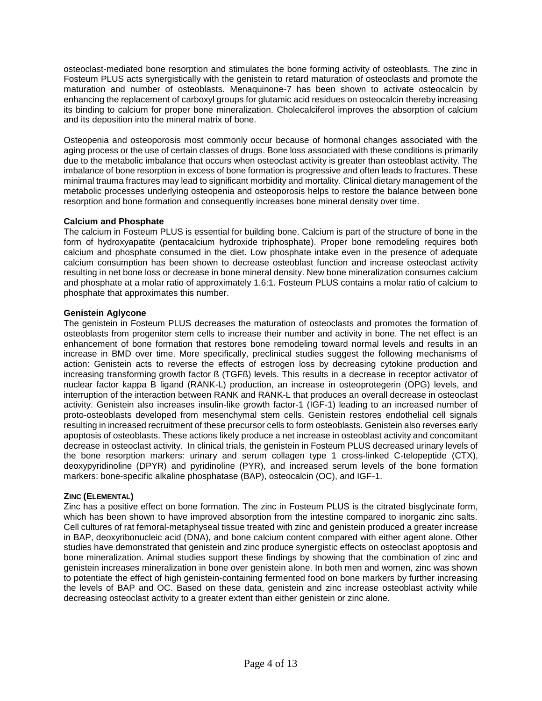osteoclast-mediated bone resorption and stimulates the bone forming activity of osteoblasts. The zinc in Fosteum PLUS acts synergistically with the genistein to retard maturation of osteoclasts and promote the maturation and number of osteoblasts. Menaquinone-7 has been shown to activate osteocalcin by enhancing the replacement of carboxyl groups for glutamic acid residues on osteocalcin thereby increasing its binding to calcium for proper bone mineralization. Cholecalciferol improves the absorption of calcium and its deposition into the mineral matrix of bone.

Osteopenia and osteoporosis most commonly occur because of hormonal changes associated with the aging process or the use of certain classes of drugs. Bone loss associated with these conditions is primarily due to the metabolic imbalance that occurs when osteoclast activity is greater than osteoblast activity. The imbalance of bone resorption in excess of bone formation is progressive and often leads to fractures. These minimal trauma fractures may lead to significant morbidity and mortality. Clinical dietary management of the metabolic processes underlying osteopenia and osteoporosis helps to restore the balance between bone resorption and bone formation and consequently increases bone mineral density over time.

# **Calcium and Phosphate**

The calcium in Fosteum PLUS is essential for building bone. Calcium is part of the structure of bone in the form of hydroxyapatite (pentacalcium hydroxide triphosphate). Proper bone remodeling requires both calcium and phosphate consumed in the diet. Low phosphate intake even in the presence of adequate calcium consumption has been shown to decrease osteoblast function and increase osteoclast activity resulting in net bone loss or decrease in bone mineral density. New bone mineralization consumes calcium and phosphate at a molar ratio of approximately 1.6:1. Fosteum PLUS contains a molar ratio of calcium to phosphate that approximates this number.

## **Genistein Aglycone**

The genistein in Fosteum PLUS decreases the maturation of osteoclasts and promotes the formation of osteoblasts from progenitor stem cells to increase their number and activity in bone. The net effect is an enhancement of bone formation that restores bone remodeling toward normal levels and results in an increase in BMD over time. More specifically, preclinical studies suggest the following mechanisms of action: Genistein acts to reverse the effects of estrogen loss by decreasing cytokine production and increasing transforming growth factor ß (TGFß) levels. This results in a decrease in receptor activator of nuclear factor kappa B ligand (RANK-L) production, an increase in osteoprotegerin (OPG) levels, and interruption of the interaction between RANK and RANK-L that produces an overall decrease in osteoclast activity. Genistein also increases insulin-like growth factor-1 (IGF-1) leading to an increased number of proto-osteoblasts developed from mesenchymal stem cells. Genistein restores endothelial cell signals resulting in increased recruitment of these precursor cells to form osteoblasts. Genistein also reverses early apoptosis of osteoblasts. These actions likely produce a net increase in osteoblast activity and concomitant decrease in osteoclast activity. In clinical trials, the genistein in Fosteum PLUS decreased urinary levels of the bone resorption markers: urinary and serum collagen type 1 cross-linked C-telopeptide (CTX), deoxypyridinoline (DPYR) and pyridinoline (PYR), and increased serum levels of the bone formation markers: bone-specific alkaline phosphatase (BAP), osteocalcin (OC), and IGF-1.

# **ZINC (ELEMENTAL)**

Zinc has a positive effect on bone formation. The zinc in Fosteum PLUS is the citrated bisglycinate form, which has been shown to have improved absorption from the intestine compared to inorganic zinc salts. Cell cultures of rat femoral-metaphyseal tissue treated with zinc and genistein produced a greater increase in BAP, deoxyribonucleic acid (DNA), and bone calcium content compared with either agent alone. Other studies have demonstrated that genistein and zinc produce synergistic effects on osteoclast apoptosis and bone mineralization. Animal studies support these findings by showing that the combination of zinc and genistein increases mineralization in bone over genistein alone. In both men and women, zinc was shown to potentiate the effect of high genistein-containing fermented food on bone markers by further increasing the levels of BAP and OC. Based on these data, genistein and zinc increase osteoblast activity while decreasing osteoclast activity to a greater extent than either genistein or zinc alone.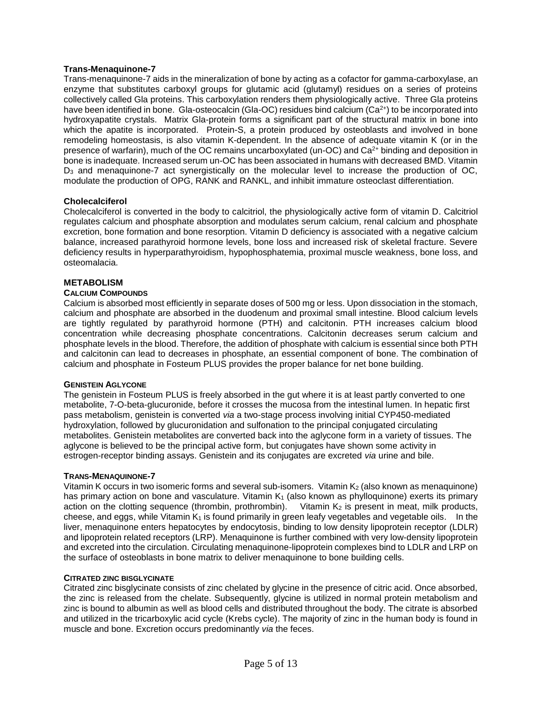### **Trans-Menaquinone-7**

Trans-menaquinone-7 aids in the mineralization of bone by acting as a cofactor for gamma-carboxylase, an enzyme that substitutes carboxyl groups for glutamic acid (glutamyl) residues on a series of proteins collectively called Gla proteins. This carboxylation renders them physiologically active. Three Gla proteins have been identified in bone. Gla-osteocalcin (Gla-OC) residues bind calcium (Ca<sup>2+</sup>) to be incorporated into hydroxyapatite crystals. Matrix Gla-protein forms a significant part of the structural matrix in bone into which the apatite is incorporated. Protein-S, a protein produced by osteoblasts and involved in bone remodeling homeostasis, is also vitamin K-dependent. In the absence of adequate vitamin K (or in the presence of warfarin), much of the OC remains uncarboxylated (un-OC) and Ca2+ binding and deposition in bone is inadequate. Increased serum un-OC has been associated in humans with decreased BMD. Vitamin D<sup>3</sup> and menaquinone-7 act synergistically on the molecular level to increase the production of OC, modulate the production of OPG, RANK and RANKL, and inhibit immature osteoclast differentiation.

## **Cholecalciferol**

Cholecalciferol is converted in the body to calcitriol, the physiologically active form of vitamin D. Calcitriol regulates calcium and phosphate absorption and modulates serum calcium, renal calcium and phosphate excretion, bone formation and bone resorption. Vitamin D deficiency is associated with a negative calcium balance, increased parathyroid hormone levels, bone loss and increased risk of skeletal fracture. Severe deficiency results in hyperparathyroidism, hypophosphatemia, proximal muscle weakness, bone loss, and osteomalacia.

## **METABOLISM**

### **CALCIUM COMPOUNDS**

Calcium is absorbed most efficiently in separate doses of 500 mg or less. Upon dissociation in the stomach, calcium and phosphate are absorbed in the duodenum and proximal small intestine. Blood calcium levels are tightly regulated by parathyroid hormone (PTH) and calcitonin. PTH increases calcium blood concentration while decreasing phosphate concentrations. Calcitonin decreases serum calcium and phosphate levels in the blood. Therefore, the addition of phosphate with calcium is essential since both PTH and calcitonin can lead to decreases in phosphate, an essential component of bone. The combination of calcium and phosphate in Fosteum PLUS provides the proper balance for net bone building.

### **GENISTEIN AGLYCONE**

The genistein in Fosteum PLUS is freely absorbed in the gut where it is at least partly converted to one metabolite, 7-O-beta-glucuronide, before it crosses the mucosa from the intestinal lumen. In hepatic first pass metabolism, genistein is converted *via* a two-stage process involving initial CYP450-mediated hydroxylation, followed by glucuronidation and sulfonation to the principal conjugated circulating metabolites. Genistein metabolites are converted back into the aglycone form in a variety of tissues. The aglycone is believed to be the principal active form, but conjugates have shown some activity in estrogen-receptor binding assays. Genistein and its conjugates are excreted *via* urine and bile.

### **TRANS-MENAQUINONE-7**

Vitamin K occurs in two isomeric forms and several sub-isomers. Vitamin  $K_2$  (also known as menaquinone) has primary action on bone and vasculature. Vitamin  $K_1$  (also known as phylloquinone) exerts its primary action on the clotting sequence (thrombin, prothrombin). Vitamin  $K_2$  is present in meat, milk products, cheese, and eggs, while Vitamin  $K_1$  is found primarily in green leafy vegetables and vegetable oils. In the liver, menaquinone enters hepatocytes by endocytosis, binding to low density lipoprotein receptor (LDLR) and lipoprotein related receptors (LRP). Menaquinone is further combined with very low-density lipoprotein and excreted into the circulation. Circulating menaquinone-lipoprotein complexes bind to LDLR and LRP on the surface of osteoblasts in bone matrix to deliver menaquinone to bone building cells.

### **CITRATED ZINC BISGLYCINATE**

Citrated zinc bisglycinate consists of zinc chelated by glycine in the presence of citric acid. Once absorbed, the zinc is released from the chelate. Subsequently, glycine is utilized in normal protein metabolism and zinc is bound to albumin as well as blood cells and distributed throughout the body. The citrate is absorbed and utilized in the tricarboxylic acid cycle (Krebs cycle). The majority of zinc in the human body is found in muscle and bone. Excretion occurs predominantly *via* the feces.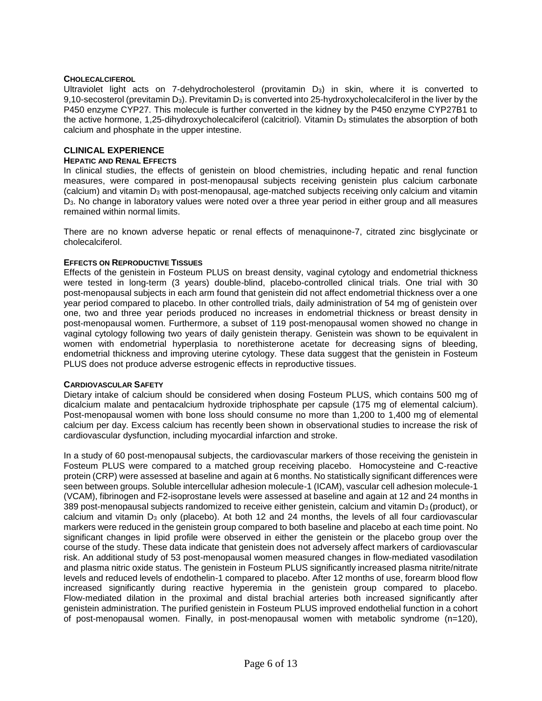### **CHOLECALCIFEROL**

Ultraviolet light acts on 7-dehydrocholesterol (provitamin  $D_3$ ) in skin, where it is converted to 9,10-secosterol (previtamin D<sub>3</sub>). Previtamin D<sub>3</sub> is converted into 25-hydroxycholecalciferol in the liver by the P450 enzyme CYP27. This molecule is further converted in the kidney by the P450 enzyme CYP27B1 to the active hormone, 1,25-dihydroxycholecalciferol (calcitriol). Vitamin  $D_3$  stimulates the absorption of both calcium and phosphate in the upper intestine.

# **CLINICAL EXPERIENCE**

#### **HEPATIC AND RENAL EFFECTS**

In clinical studies, the effects of genistein on blood chemistries, including hepatic and renal function measures, were compared in post-menopausal subjects receiving genistein plus calcium carbonate (calcium) and vitamin D<sub>3</sub> with post-menopausal, age-matched subjects receiving only calcium and vitamin D3. No change in laboratory values were noted over a three year period in either group and all measures remained within normal limits.

There are no known adverse hepatic or renal effects of menaquinone-7, citrated zinc bisglycinate or cholecalciferol.

#### **EFFECTS ON REPRODUCTIVE TISSUES**

Effects of the genistein in Fosteum PLUS on breast density, vaginal cytology and endometrial thickness were tested in long-term (3 years) double-blind, placebo-controlled clinical trials. One trial with 30 post-menopausal subjects in each arm found that genistein did not affect endometrial thickness over a one year period compared to placebo. In other controlled trials, daily administration of 54 mg of genistein over one, two and three year periods produced no increases in endometrial thickness or breast density in post-menopausal women. Furthermore, a subset of 119 post-menopausal women showed no change in vaginal cytology following two years of daily genistein therapy. Genistein was shown to be equivalent in women with endometrial hyperplasia to norethisterone acetate for decreasing signs of bleeding, endometrial thickness and improving uterine cytology. These data suggest that the genistein in Fosteum PLUS does not produce adverse estrogenic effects in reproductive tissues.

#### **CARDIOVASCULAR SAFETY**

Dietary intake of calcium should be considered when dosing Fosteum PLUS, which contains 500 mg of dicalcium malate and pentacalcium hydroxide triphosphate per capsule (175 mg of elemental calcium). Post-menopausal women with bone loss should consume no more than 1,200 to 1,400 mg of elemental calcium per day. Excess calcium has recently been shown in observational studies to increase the risk of cardiovascular dysfunction, including myocardial infarction and stroke.

In a study of 60 post-menopausal subiects, the cardiovascular markers of those receiving the genistein in Fosteum PLUS were compared to a matched group receiving placebo. Homocysteine and C-reactive protein (CRP) were assessed at baseline and again at 6 months. No statistically significant differences were seen between groups. Soluble intercellular adhesion molecule-1 (ICAM), vascular cell adhesion molecule-1 (VCAM), fibrinogen and F2-isoprostane levels were assessed at baseline and again at 12 and 24 months in 389 post-menopausal subjects randomized to receive either genistein, calcium and vitamin D<sub>3</sub> (product), or calcium and vitamin D<sub>3</sub> only (placebo). At both 12 and 24 months, the levels of all four cardiovascular markers were reduced in the genistein group compared to both baseline and placebo at each time point. No significant changes in lipid profile were observed in either the genistein or the placebo group over the course of the study. These data indicate that genistein does not adversely affect markers of cardiovascular risk. An additional study of 53 post-menopausal women measured changes in flow-mediated vasodilation and plasma nitric oxide status. The genistein in Fosteum PLUS significantly increased plasma nitrite/nitrate levels and reduced levels of endothelin-1 compared to placebo. After 12 months of use, forearm blood flow increased significantly during reactive hyperemia in the genistein group compared to placebo. Flow-mediated dilation in the proximal and distal brachial arteries both increased significantly after genistein administration. The purified genistein in Fosteum PLUS improved endothelial function in a cohort of post-menopausal women. Finally, in post-menopausal women with metabolic syndrome (n=120),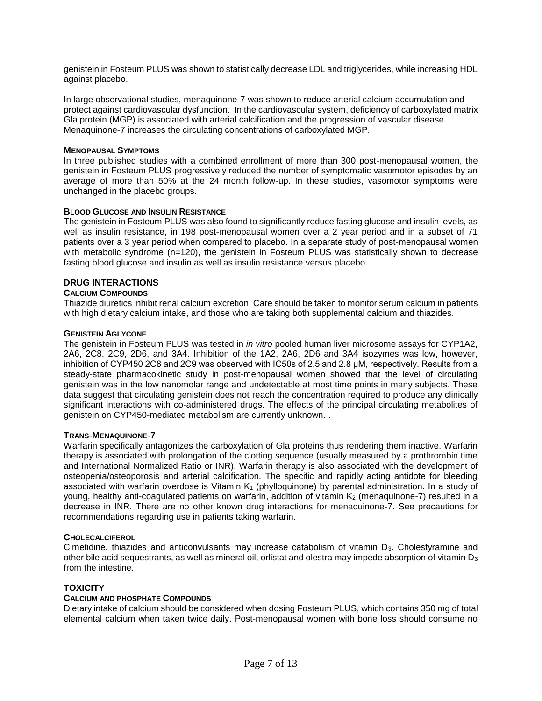genistein in Fosteum PLUS was shown to statistically decrease LDL and triglycerides, while increasing HDL against placebo.

In large observational studies, menaquinone-7 was shown to reduce arterial calcium accumulation and protect against cardiovascular dysfunction. In the cardiovascular system, deficiency of carboxylated matrix Gla protein (MGP) is associated with arterial calcification and the progression of vascular disease. Menaquinone-7 increases the circulating concentrations of carboxylated MGP.

#### **MENOPAUSAL SYMPTOMS**

In three published studies with a combined enrollment of more than 300 post-menopausal women, the genistein in Fosteum PLUS progressively reduced the number of symptomatic vasomotor episodes by an average of more than 50% at the 24 month follow-up. In these studies, vasomotor symptoms were unchanged in the placebo groups.

### **BLOOD GLUCOSE AND INSULIN RESISTANCE**

The genistein in Fosteum PLUS was also found to significantly reduce fasting glucose and insulin levels, as well as insulin resistance, in 198 post-menopausal women over a 2 year period and in a subset of 71 patients over a 3 year period when compared to placebo. In a separate study of post-menopausal women with metabolic syndrome (n=120), the genistein in Fosteum PLUS was statistically shown to decrease fasting blood glucose and insulin as well as insulin resistance versus placebo.

### **DRUG INTERACTIONS**

#### **CALCIUM COMPOUNDS**

Thiazide diuretics inhibit renal calcium excretion. Care should be taken to monitor serum calcium in patients with high dietary calcium intake, and those who are taking both supplemental calcium and thiazides.

#### **GENISTEIN AGLYCONE**

The genistein in Fosteum PLUS was tested in *in vitro* pooled human liver microsome assays for CYP1A2, 2A6, 2C8, 2C9, 2D6, and 3A4. Inhibition of the 1A2, 2A6, 2D6 and 3A4 isozymes was low, however, inhibition of CYP450 2C8 and 2C9 was observed with IC50s of 2.5 and 2.8 μM, respectively. Results from a steady-state pharmacokinetic study in post-menopausal women showed that the level of circulating genistein was in the low nanomolar range and undetectable at most time points in many subjects. These data suggest that circulating genistein does not reach the concentration required to produce any clinically significant interactions with co-administered drugs. The effects of the principal circulating metabolites of genistein on CYP450-mediated metabolism are currently unknown. .

#### **TRANS-MENAQUINONE-7**

Warfarin specifically antagonizes the carboxylation of Gla proteins thus rendering them inactive. Warfarin therapy is associated with prolongation of the clotting sequence (usually measured by a prothrombin time and International Normalized Ratio or INR). Warfarin therapy is also associated with the development of osteopenia/osteoporosis and arterial calcification. The specific and rapidly acting antidote for bleeding associated with warfarin overdose is Vitamin  $K_1$  (phylloquinone) by parental administration. In a study of young, healthy anti-coagulated patients on warfarin, addition of vitamin K<sub>2</sub> (menaquinone-7) resulted in a decrease in INR. There are no other known drug interactions for menaquinone-7. See precautions for recommendations regarding use in patients taking warfarin.

#### **CHOLECALCIFEROL**

Cimetidine, thiazides and anticonvulsants may increase catabolism of vitamin D<sub>3</sub>. Cholestyramine and other bile acid sequestrants, as well as mineral oil, orlistat and olestra may impede absorption of vitamin  $D_3$ from the intestine.

### **TOXICITY**

### **CALCIUM AND PHOSPHATE COMPOUNDS**

Dietary intake of calcium should be considered when dosing Fosteum PLUS, which contains 350 mg of total elemental calcium when taken twice daily. Post-menopausal women with bone loss should consume no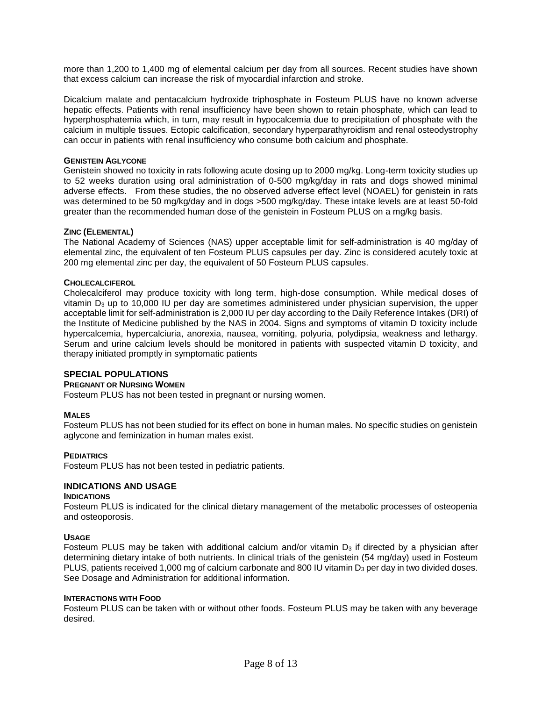more than 1,200 to 1,400 mg of elemental calcium per day from all sources. Recent studies have shown that excess calcium can increase the risk of myocardial infarction and stroke.

Dicalcium malate and pentacalcium hydroxide triphosphate in Fosteum PLUS have no known adverse hepatic effects. Patients with renal insufficiency have been shown to retain phosphate, which can lead to hyperphosphatemia which, in turn, may result in hypocalcemia due to precipitation of phosphate with the calcium in multiple tissues. Ectopic calcification, secondary hyperparathyroidism and renal osteodystrophy can occur in patients with renal insufficiency who consume both calcium and phosphate.

#### **GENISTEIN AGLYCONE**

Genistein showed no toxicity in rats following acute dosing up to 2000 mg/kg. Long-term toxicity studies up to 52 weeks duration using oral administration of 0-500 mg/kg/day in rats and dogs showed minimal adverse effects. From these studies, the no observed adverse effect level (NOAEL) for genistein in rats was determined to be 50 mg/kg/day and in dogs >500 mg/kg/day. These intake levels are at least 50-fold greater than the recommended human dose of the genistein in Fosteum PLUS on a mg/kg basis.

#### **ZINC (ELEMENTAL)**

The National Academy of Sciences (NAS) upper acceptable limit for self-administration is 40 mg/day of elemental zinc, the equivalent of ten Fosteum PLUS capsules per day. Zinc is considered acutely toxic at 200 mg elemental zinc per day, the equivalent of 50 Fosteum PLUS capsules.

#### **CHOLECALCIFEROL**

Cholecalciferol may produce toxicity with long term, high-dose consumption. While medical doses of vitamin  $D_3$  up to 10,000 IU per day are sometimes administered under physician supervision, the upper acceptable limit for self-administration is 2,000 IU per day according to the Daily Reference Intakes (DRI) of the Institute of Medicine published by the NAS in 2004. Signs and symptoms of vitamin D toxicity include hypercalcemia, hypercalciuria, anorexia, nausea, vomiting, polyuria, polydipsia, weakness and lethargy. Serum and urine calcium levels should be monitored in patients with suspected vitamin D toxicity, and therapy initiated promptly in symptomatic patients

## **SPECIAL POPULATIONS**

#### **PREGNANT OR NURSING WOMEN**

Fosteum PLUS has not been tested in pregnant or nursing women.

### **MALES**

Fosteum PLUS has not been studied for its effect on bone in human males. No specific studies on genistein aglycone and feminization in human males exist.

#### **PEDIATRICS**

Fosteum PLUS has not been tested in pediatric patients.

### **INDICATIONS AND USAGE**

#### **INDICATIONS**

Fosteum PLUS is indicated for the clinical dietary management of the metabolic processes of osteopenia and osteoporosis.

#### **USAGE**

Fosteum PLUS may be taken with additional calcium and/or vitamin  $D<sub>3</sub>$  if directed by a physician after determining dietary intake of both nutrients. In clinical trials of the genistein (54 mg/day) used in Fosteum PLUS, patients received 1,000 mg of calcium carbonate and 800 IU vitamin D<sub>3</sub> per day in two divided doses. See Dosage and Administration for additional information.

#### **INTERACTIONS WITH FOOD**

Fosteum PLUS can be taken with or without other foods. Fosteum PLUS may be taken with any beverage desired.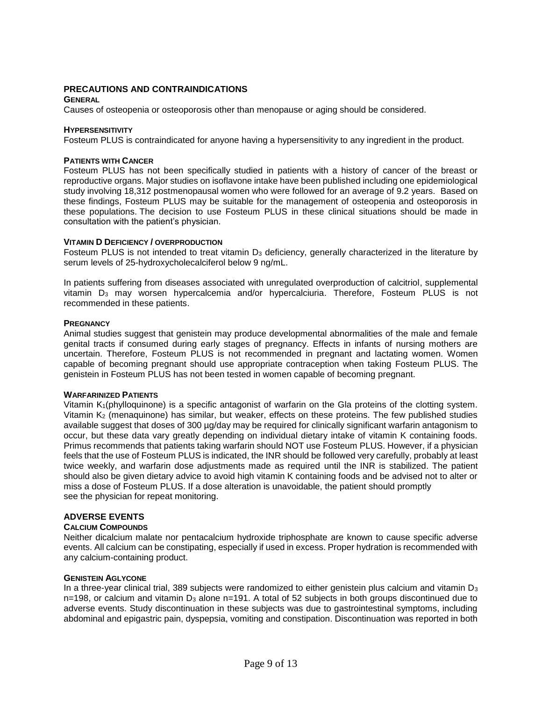## **PRECAUTIONS AND CONTRAINDICATIONS**

### **GENERAL**

Causes of osteopenia or osteoporosis other than menopause or aging should be considered.

#### **HYPERSENSITIVITY**

Fosteum PLUS is contraindicated for anyone having a hypersensitivity to any ingredient in the product.

### **PATIENTS WITH CANCER**

Fosteum PLUS has not been specifically studied in patients with a history of cancer of the breast or reproductive organs. Major studies on isoflavone intake have been published including one epidemiological study involving 18,312 postmenopausal women who were followed for an average of 9.2 years. Based on these findings, Fosteum PLUS may be suitable for the management of osteopenia and osteoporosis in these populations. The decision to use Fosteum PLUS in these clinical situations should be made in consultation with the patient's physician.

### **VITAMIN D DEFICIENCY / OVERPRODUCTION**

Fosteum PLUS is not intended to treat vitamin D<sub>3</sub> deficiency, generally characterized in the literature by serum levels of 25-hydroxycholecalciferol below 9 ng/mL.

In patients suffering from diseases associated with unregulated overproduction of calcitriol, supplemental vitamin D<sup>3</sup> may worsen hypercalcemia and/or hypercalciuria. Therefore, Fosteum PLUS is not recommended in these patients.

#### **PREGNANCY**

Animal studies suggest that genistein may produce developmental abnormalities of the male and female genital tracts if consumed during early stages of pregnancy. Effects in infants of nursing mothers are uncertain. Therefore, Fosteum PLUS is not recommended in pregnant and lactating women. Women capable of becoming pregnant should use appropriate contraception when taking Fosteum PLUS. The genistein in Fosteum PLUS has not been tested in women capable of becoming pregnant.

### **WARFARINIZED PATIENTS**

Vitamin K1(phylloquinone) is a specific antagonist of warfarin on the Gla proteins of the clotting system. Vitamin K<sup>2</sup> (menaquinone) has similar, but weaker, effects on these proteins. The few published studies available suggest that doses of 300 µg/day may be required for clinically significant warfarin antagonism to occur, but these data vary greatly depending on individual dietary intake of vitamin K containing foods. Primus recommends that patients taking warfarin should NOT use Fosteum PLUS. However, if a physician feels that the use of Fosteum PLUS is indicated, the INR should be followed very carefully, probably at least twice weekly, and warfarin dose adjustments made as required until the INR is stabilized. The patient should also be given dietary advice to avoid high vitamin K containing foods and be advised not to alter or miss a dose of Fosteum PLUS. If a dose alteration is unavoidable, the patient should promptly see the physician for repeat monitoring.

# **ADVERSE EVENTS**

## **CALCIUM COMPOUNDS**

Neither dicalcium malate nor pentacalcium hydroxide triphosphate are known to cause specific adverse events. All calcium can be constipating, especially if used in excess. Proper hydration is recommended with any calcium-containing product.

#### **GENISTEIN AGLYCONE**

In a three-year clinical trial, 389 subjects were randomized to either genistein plus calcium and vitamin  $D_3$  $n=198$ , or calcium and vitamin  $D_3$  alone  $n=191$ . A total of 52 subjects in both groups discontinued due to adverse events. Study discontinuation in these subjects was due to gastrointestinal symptoms, including abdominal and epigastric pain, dyspepsia, vomiting and constipation. Discontinuation was reported in both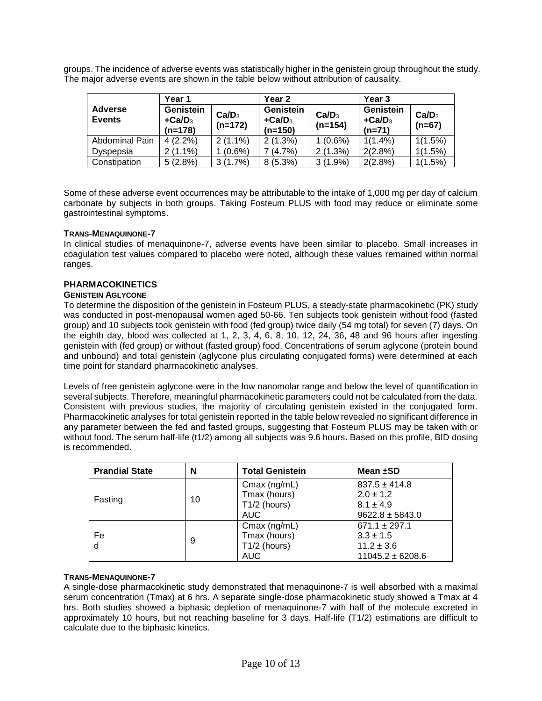groups. The incidence of adverse events was statistically higher in the genistein group throughout the study. The major adverse events are shown in the table below without attribution of causality.

|                                 | Year 1                                          |                                | Year 2                                          |                                | Year 3                            |                               |
|---------------------------------|-------------------------------------------------|--------------------------------|-------------------------------------------------|--------------------------------|-----------------------------------|-------------------------------|
| <b>Adverse</b><br><b>Events</b> | Genistein<br>$+$ Ca/D <sub>3</sub><br>$(n=178)$ | Ca/D <sub>3</sub><br>$(n=172)$ | Genistein<br>$+$ Ca/D <sub>3</sub><br>$(n=150)$ | Ca/D <sub>3</sub><br>$(n=154)$ | Genistein<br>$+Ca/D3$<br>$(n=71)$ | Ca/D <sub>3</sub><br>$(n=67)$ |
| Abdominal Pain                  | $4(2.2\%)$                                      | $2(1.1\%)$                     | $2(1.3\%)$                                      | $(0.6\%)$                      | $1(1.4\%)$                        | 1(1.5%)                       |
| Dyspepsia                       | $2(1.1\%)$                                      | $(0.6\%)$                      | (4.7%)                                          | 2(1.3%)                        | 2(2.8%)                           | 1(1.5%)                       |
| Constipation                    | 5(2.8%)                                         | 3(1.7%)                        | $8(5.3\%)$                                      | $3(1.9\%)$                     | 2(2.8%)                           | 1(1.5%)                       |

Some of these adverse event occurrences may be attributable to the intake of 1,000 mg per day of calcium carbonate by subjects in both groups. Taking Fosteum PLUS with food may reduce or eliminate some gastrointestinal symptoms.

## **TRANS-MENAQUINONE-7**

In clinical studies of menaquinone-7, adverse events have been similar to placebo. Small increases in coagulation test values compared to placebo were noted, although these values remained within normal ranges.

## **PHARMACOKINETICS**

### **GENISTEIN AGLYCONE**

To determine the disposition of the genistein in Fosteum PLUS, a steady-state pharmacokinetic (PK) study was conducted in post-menopausal women aged 50-66. Ten subjects took genistein without food (fasted group) and 10 subjects took genistein with food (fed group) twice daily (54 mg total) for seven (7) days. On the eighth day, blood was collected at 1, 2, 3, 4, 6, 8, 10, 12, 24, 36, 48 and 96 hours after ingesting genistein with (fed group) or without (fasted group) food. Concentrations of serum aglycone (protein bound and unbound) and total genistein (aglycone plus circulating conjugated forms) were determined at each time point for standard pharmacokinetic analyses.

Levels of free genistein aglycone were in the low nanomolar range and below the level of quantification in several subjects. Therefore, meaningful pharmacokinetic parameters could not be calculated from the data. Consistent with previous studies, the majority of circulating genistein existed in the conjugated form. Pharmacokinetic analyses for total genistein reported in the table below revealed no significant difference in any parameter between the fed and fasted groups, suggesting that Fosteum PLUS may be taken with or without food. The serum half-life (t1/2) among all subjects was 9.6 hours. Based on this profile, BID dosing is recommended.

| <b>Prandial State</b> | N  | <b>Total Genistein</b>                                       | Mean ±SD                                                                     |
|-----------------------|----|--------------------------------------------------------------|------------------------------------------------------------------------------|
| Fasting               | 10 | $Cmax$ (ng/mL)<br>Tmax (hours)<br>$T1/2$ (hours)<br>AUC      | $837.5 \pm 414.8$<br>$2.0 \pm 1.2$<br>$8.1 \pm 4.9$<br>$9622.8 \pm 5843.0$   |
| Fe<br>d               | 9  | Cmax (ng/mL)<br>Tmax (hours)<br>$T1/2$ (hours)<br><b>AUC</b> | $671.1 \pm 297.1$<br>$3.3 \pm 1.5$<br>$11.2 \pm 3.6$<br>$11045.2 \pm 6208.6$ |

# **TRANS-MENAQUINONE-7**

A single-dose pharmacokinetic study demonstrated that menaquinone-7 is well absorbed with a maximal serum concentration (Tmax) at 6 hrs. A separate single-dose pharmacokinetic study showed a Tmax at 4 hrs. Both studies showed a biphasic depletion of menaquinone-7 with half of the molecule excreted in approximately 10 hours, but not reaching baseline for 3 days. Half-life (T1/2) estimations are difficult to calculate due to the biphasic kinetics.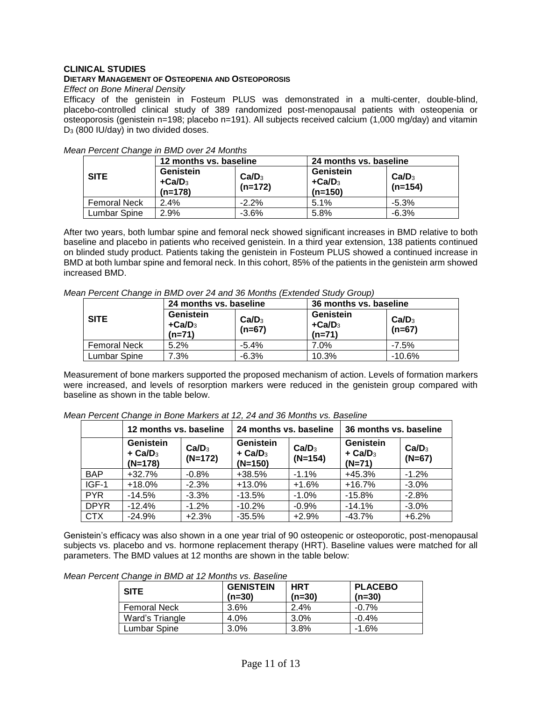## **CLINICAL STUDIES**

## **DIETARY MANAGEMENT OF OSTEOPENIA AND OSTEOPOROSIS**

## *Effect on Bone Mineral Density*

Efficacy of the genistein in Fosteum PLUS was demonstrated in a multi-center, double-blind, placebo-controlled clinical study of 389 randomized post-menopausal patients with osteopenia or osteoporosis (genistein n=198; placebo n=191). All subjects received calcium (1,000 mg/day) and vitamin D<sup>3</sup> (800 IU/day) in two divided doses.

|                     | 12 months vs. baseline             |                                | 24 months vs. baseline             |                                |
|---------------------|------------------------------------|--------------------------------|------------------------------------|--------------------------------|
| <b>SITE</b>         | Genistein<br>$+Ca/D3$<br>$(n=178)$ | Ca/D <sub>3</sub><br>$(n=172)$ | Genistein<br>$+Ca/D3$<br>$(n=150)$ | Ca/D <sub>3</sub><br>$(n=154)$ |
| <b>Femoral Neck</b> | 2.4%                               | $-2.2%$                        | 5.1%                               | $-5.3\%$                       |
| <b>Lumbar Spine</b> | 2.9%                               | $-3.6%$                        | 5.8%                               | $-6.3%$                        |

*Mean Percent Change in BMD over 24 Months*

After two years, both lumbar spine and femoral neck showed significant increases in BMD relative to both baseline and placebo in patients who received genistein. In a third year extension, 138 patients continued on blinded study product. Patients taking the genistein in Fosteum PLUS showed a continued increase in BMD at both lumbar spine and femoral neck. In this cohort, 85% of the patients in the genistein arm showed increased BMD.

| Mean Percent Change in BMD over 24 and 36 Months (Extended Study Group) |                        |  |                        |  |  |  |
|-------------------------------------------------------------------------|------------------------|--|------------------------|--|--|--|
|                                                                         | 24 months vs. baseline |  | 36 months vs. baseline |  |  |  |
|                                                                         | Genistein              |  | Genistein              |  |  |  |

|                     | 24 months vs. baseline            |                               | 36 months vs. baseline            |                               |
|---------------------|-----------------------------------|-------------------------------|-----------------------------------|-------------------------------|
| <b>SITE</b>         | Genistein<br>$+Ca/D3$<br>$(n=71)$ | Ca/D <sub>3</sub><br>$(n=67)$ | Genistein<br>$+Ca/D3$<br>$(n=71)$ | Ca/D <sub>3</sub><br>$(n=67)$ |
| <b>Femoral Neck</b> | 5.2%                              | $-5.4%$                       | 7.0%                              | $-7.5%$                       |
| Lumbar Spine        | 7.3%                              | $-6.3%$                       | 10.3%                             | $-10.6%$                      |

Measurement of bone markers supported the proposed mechanism of action. Levels of formation markers were increased, and levels of resorption markers were reduced in the genistein group compared with baseline as shown in the table below.

|             | 12 months vs. baseline                          |                                | 24 months vs. baseline                          |                                | 36 months vs. baseline                         |                               |  |
|-------------|-------------------------------------------------|--------------------------------|-------------------------------------------------|--------------------------------|------------------------------------------------|-------------------------------|--|
|             | Genistein<br>$+$ Ca/D <sub>3</sub><br>$(N=178)$ | Ca/D <sub>3</sub><br>$(N=172)$ | Genistein<br>$+$ Ca/D <sub>3</sub><br>$(N=150)$ | Ca/D <sub>3</sub><br>$(N=154)$ | Genistein<br>$+$ Ca/D <sub>3</sub><br>$(N=71)$ | Ca/D <sub>3</sub><br>$(N=67)$ |  |
| <b>BAP</b>  | $+32.7%$                                        | $-0.8%$                        | +38.5%                                          | $-1.1%$                        | $+45.3%$                                       | $-1.2%$                       |  |
| $IGF-1$     | $+18.0%$                                        | $-2.3%$                        | $+13.0%$                                        | $+1.6%$                        | $+16.7%$                                       | $-3.0%$                       |  |
| <b>PYR</b>  | $-14.5%$                                        | $-3.3%$                        | $-13.5%$                                        | $-1.0%$                        | $-15.8%$                                       | $-2.8%$                       |  |
| <b>DPYR</b> | $-12.4%$                                        | $-1.2%$                        | $-10.2%$                                        | $-0.9%$                        | $-14.1%$                                       | $-3.0%$                       |  |
| <b>CTX</b>  | $-24.9%$                                        | $+2.3%$                        | $-35.5%$                                        | $+2.9%$                        | $-43.7%$                                       | $+6.2%$                       |  |

*Mean Percent Change in Bone Markers at 12, 24 and 36 Months vs. Baseline*

Genistein's efficacy was also shown in a one year trial of 90 osteopenic or osteoporotic, post-menopausal subjects vs. placebo and vs. hormone replacement therapy (HRT). Baseline values were matched for all parameters. The BMD values at 12 months are shown in the table below:

|  |  |  |  | Mean Percent Change in BMD at 12 Months vs. Baseline |
|--|--|--|--|------------------------------------------------------|
|  |  |  |  |                                                      |

| <b>SITE</b>         | <b>GENISTEIN</b><br>$(n=30)$ | <b>HRT</b><br>$(n=30)$ | <b>PLACEBO</b><br>$(n=30)$ |
|---------------------|------------------------------|------------------------|----------------------------|
| <b>Femoral Neck</b> | 3.6%                         | 2.4%                   | $-0.7\%$                   |
| Ward's Triangle     | $4.0\%$                      | $3.0\%$                | -0.4%                      |
| Lumbar Spine        | 3.0%                         | $3.8\%$                | -1.6%                      |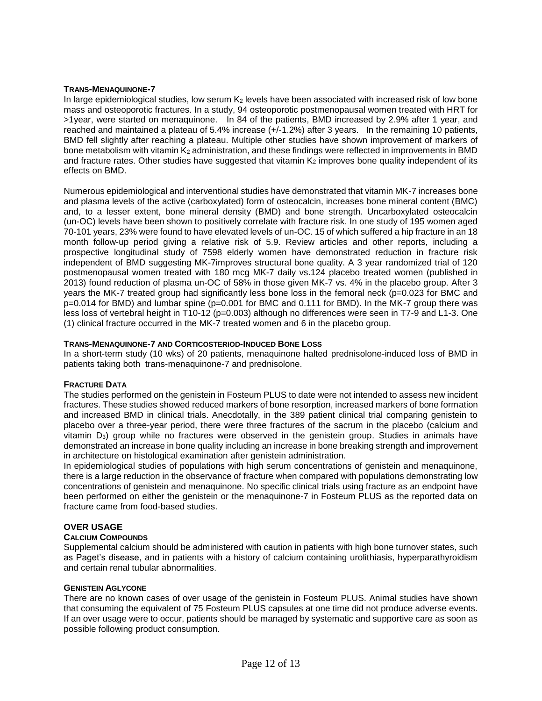## **TRANS-MENAQUINONE-7**

In large epidemiological studies, low serum  $K_2$  levels have been associated with increased risk of low bone mass and osteoporotic fractures. In a study, 94 osteoporotic postmenopausal women treated with HRT for >1year, were started on menaquinone. In 84 of the patients, BMD increased by 2.9% after 1 year, and reached and maintained a plateau of 5.4% increase (+/-1.2%) after 3 years. In the remaining 10 patients, BMD fell slightly after reaching a plateau. Multiple other studies have shown improvement of markers of bone metabolism with vitamin  $K_2$  administration, and these findings were reflected in improvements in BMD and fracture rates. Other studies have suggested that vitamin  $K_2$  improves bone quality independent of its effects on BMD.

Numerous epidemiological and interventional studies have demonstrated that vitamin MK-7 increases bone and plasma levels of the active (carboxylated) form of osteocalcin, increases bone mineral content (BMC) and, to a lesser extent, bone mineral density (BMD) and bone strength. Uncarboxylated osteocalcin (un-OC) levels have been shown to positively correlate with fracture risk. In one study of 195 women aged 70-101 years, 23% were found to have elevated levels of un-OC. 15 of which suffered a hip fracture in an 18 month follow-up period giving a relative risk of 5.9. Review articles and other reports, including a prospective longitudinal study of 7598 elderly women have demonstrated reduction in fracture risk independent of BMD suggesting MK-7improves structural bone quality. A 3 year randomized trial of 120 postmenopausal women treated with 180 mcg MK-7 daily vs.124 placebo treated women (published in 2013) found reduction of plasma un-OC of 58% in those given MK-7 vs. 4% in the placebo group. After 3 years the MK-7 treated group had significantly less bone loss in the femoral neck (p=0.023 for BMC and p=0.014 for BMD) and lumbar spine (p=0.001 for BMC and 0.111 for BMD). In the MK-7 group there was less loss of vertebral height in T10-12 (p=0.003) although no differences were seen in T7-9 and L1-3. One (1) clinical fracture occurred in the MK-7 treated women and 6 in the placebo group.

## **TRANS-MENAQUINONE-7 AND CORTICOSTERIOD-INDUCED BONE LOSS**

In a short-term study (10 wks) of 20 patients, menaquinone halted prednisolone-induced loss of BMD in patients taking both trans-menaquinone-7 and prednisolone.

### **FRACTURE DATA**

The studies performed on the genistein in Fosteum PLUS to date were not intended to assess new incident fractures. These studies showed reduced markers of bone resorption, increased markers of bone formation and increased BMD in clinical trials. Anecdotally, in the 389 patient clinical trial comparing genistein to placebo over a three-year period, there were three fractures of the sacrum in the placebo (calcium and vitamin D<sub>3</sub>) group while no fractures were observed in the genistein group. Studies in animals have demonstrated an increase in bone quality including an increase in bone breaking strength and improvement in architecture on histological examination after genistein administration.

In epidemiological studies of populations with high serum concentrations of genistein and menaquinone, there is a large reduction in the observance of fracture when compared with populations demonstrating low concentrations of genistein and menaquinone. No specific clinical trials using fracture as an endpoint have been performed on either the genistein or the menaquinone-7 in Fosteum PLUS as the reported data on fracture came from food-based studies.

# **OVER USAGE**

# **CALCIUM COMPOUNDS**

Supplemental calcium should be administered with caution in patients with high bone turnover states, such as Paget's disease, and in patients with a history of calcium containing urolithiasis, hyperparathyroidism and certain renal tubular abnormalities.

### **GENISTEIN AGLYCONE**

There are no known cases of over usage of the genistein in Fosteum PLUS. Animal studies have shown that consuming the equivalent of 75 Fosteum PLUS capsules at one time did not produce adverse events. If an over usage were to occur, patients should be managed by systematic and supportive care as soon as possible following product consumption.